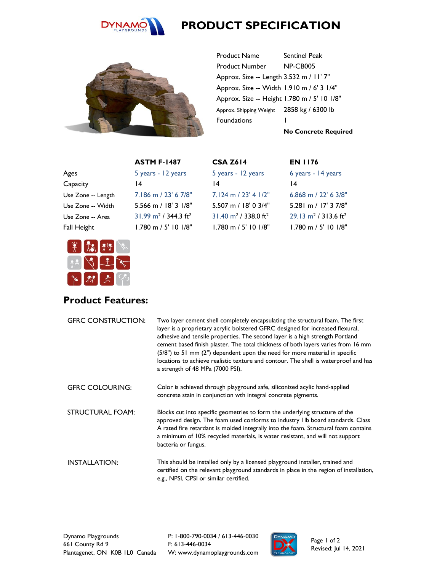

## **PRODUCT SPECIFICATION**



Product Name Sentinel Peak Product Number NP-CB005 Approx. Size -- Length 3.532 m / 11' 7" Approx. Size -- Width 1.910 m / 6' 3 1/4" Approx. Size -- Height 1.780 m / 5' 10 1/8" Approx. Shipping Weight 2858 kg / 6300 lb Foundations 1

**No Concrete Required**

6 years - 14 years

6.868 m / 22' 6 3/8" 5.281 m / 17' 3 7/8"  $29.13 \text{ m}^2$  / 313.6 ft<sup>2</sup> 1.780 m / 5' 10 1/8"

**EN 1176**

14

|                    | <b>ASTM F-1487</b>                             |
|--------------------|------------------------------------------------|
| Ages               | 5 years - 12 years                             |
| Capacity           | $\overline{14}$                                |
| Use Zone -- Length | $7.186$ m $/$ 23' 6 7/8"                       |
| Use Zone -- Width  | 5.566 m / $18'$ 3 $1/8"$                       |
| Use Zone -- Area   | $31.99$ m <sup>2</sup> / 344.3 ft <sup>2</sup> |
| Fall Height        | 1.780 m / 5' 10 1/8"                           |



## **Product Features:**

| <b>GFRC CONSTRUCTION:</b> | Two layer cement shell completely encapsulating the structural foam. The first<br>layer is a proprietary acrylic bolstered GFRC designed for increased flexural,<br>adhesive and tensile properties. The second layer is a high strength Portland<br>cement based finish plaster. The total thickness of both layers varies from 16 mm<br>$(5/8")$ to 51 mm $(2")$ dependent upon the need for more material in specific<br>locations to achieve realistic texture and contour. The shell is waterproof and has<br>a strength of 48 MPa (7000 PSI). |
|---------------------------|-----------------------------------------------------------------------------------------------------------------------------------------------------------------------------------------------------------------------------------------------------------------------------------------------------------------------------------------------------------------------------------------------------------------------------------------------------------------------------------------------------------------------------------------------------|
| <b>GFRC COLOURING:</b>    | Color is achieved through playground safe, siliconized acylic hand-applied<br>concrete stain in conjunction wth integral concrete pigments.                                                                                                                                                                                                                                                                                                                                                                                                         |
| <b>STRUCTURAL FOAM:</b>   | Blocks cut into specific geometries to form the underlying structure of the<br>approved design. The foam used conforms to industry Ilb board standards. Class<br>A rated fire retardant is molded integrally into the foam. Structural foam contains<br>a minimum of 10% recycled materials, is water resistant, and will not support<br>bacteria or fungus.                                                                                                                                                                                        |
| <b>INSTALLATION:</b>      | This should be installed only by a licensed playground installer, trained and<br>certified on the relevant playground standards in place in the region of installation,<br>e.g., NPSI, CPSI or similar certified.                                                                                                                                                                                                                                                                                                                                   |

**CSA Z614**

14

5 years - 12 years

7.124 m / 23' 4 1/2" 5.507 m / 18' 0 3/4"  $31.40 \text{ m}^2$  / 338.0 ft<sup>2</sup> 1.780 m / 5' 10 1/8"